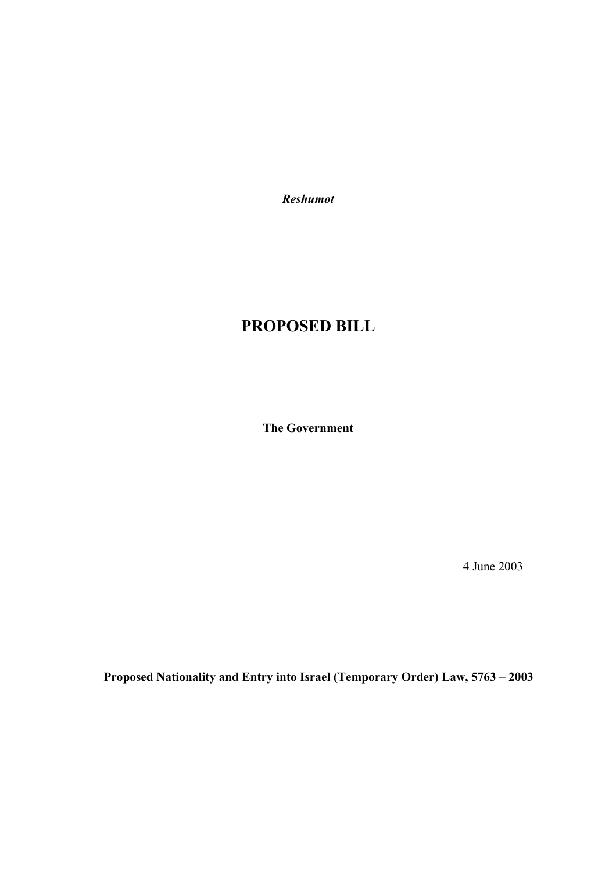*Reshumot* 

# **PROPOSED BILL**

**The Government** 

4 June 2003

**Proposed Nationality and Entry into Israel (Temporary Order) Law, 5763 – 2003**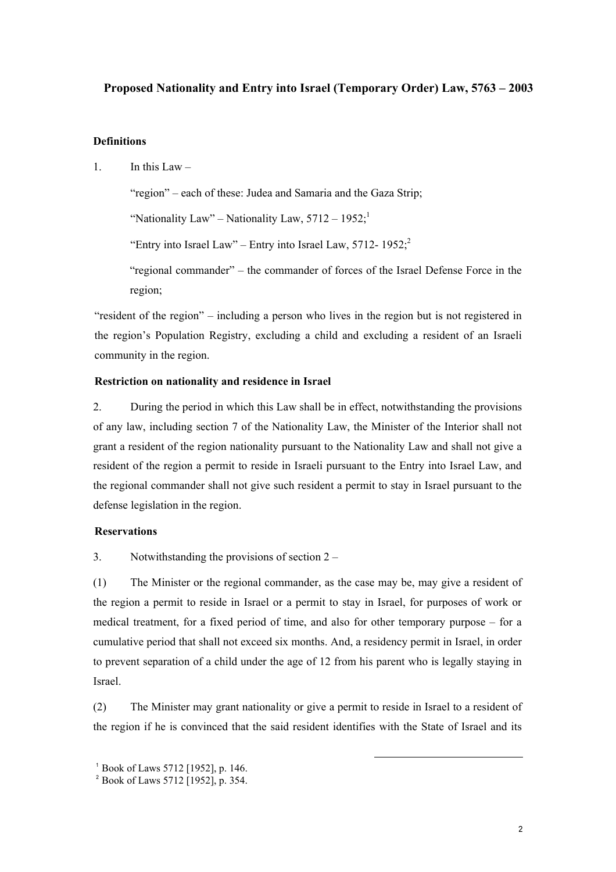## **Proposed Nationality and Entry into Israel (Temporary Order) Law, 5763 – 2003**

## **Definitions**

1 In this Law  $-$ 

"region" – each of these: Judea and Samaria and the Gaza Strip;

"Nationality Law" – Nationality Law,  $5712 - 1952$ :

"Entry into Israel Law" – Entry into Israel Law,  $5712 - 1952$ ;

"regional commander" – the commander of forces of the Israel Defense Force in the region;

"resident of the region" – including a person who lives in the region but is not registered in the region's Population Registry, excluding a child and excluding a resident of an Israeli community in the region.

## **Restriction on nationality and residence in Israel**

2. During the period in which this Law shall be in effect, notwithstanding the provisions of any law, including section 7 of the Nationality Law, the Minister of the Interior shall not grant a resident of the region nationality pursuant to the Nationality Law and shall not give a resident of the region a permit to reside in Israeli pursuant to the Entry into Israel Law, and the regional commander shall not give such resident a permit to stay in Israel pursuant to the defense legislation in the region.

#### **Reservations**

3. Notwithstanding the provisions of section 2 –

(1) The Minister or the regional commander, as the case may be, may give a resident of the region a permit to reside in Israel or a permit to stay in Israel, for purposes of work or medical treatment, for a fixed period of time, and also for other temporary purpose – for a cumulative period that shall not exceed six months. And, a residency permit in Israel, in order to prevent separation of a child under the age of 12 from his parent who is legally staying in Israel.

(2) The Minister may grant nationality or give a permit to reside in Israel to a resident of the region if he is convinced that the said resident identifies with the State of Israel and its

l

<sup>1</sup> Book of Laws 5712 [1952], p. 146.

<sup>&</sup>lt;sup>2</sup> Book of Laws 5712 [1952], p. 354.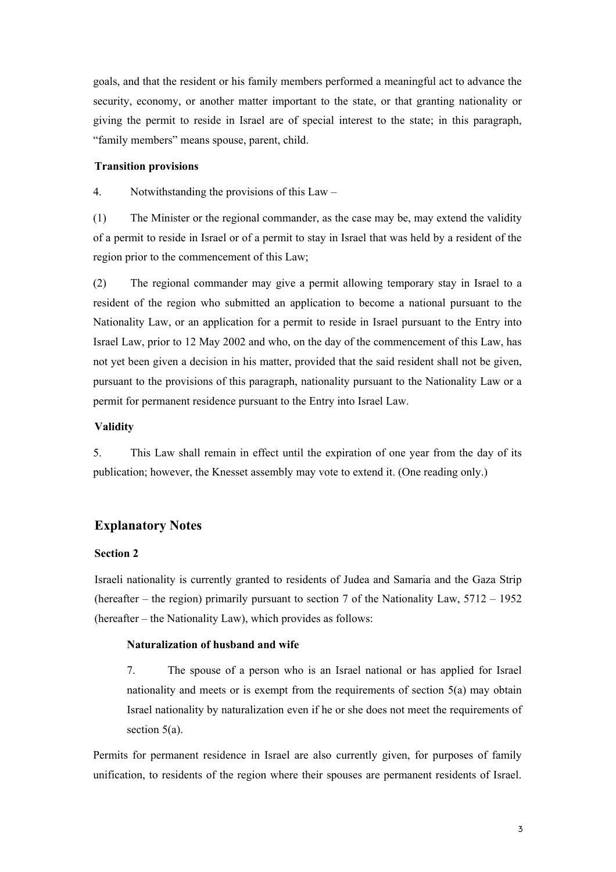goals, and that the resident or his family members performed a meaningful act to advance the security, economy, or another matter important to the state, or that granting nationality or giving the permit to reside in Israel are of special interest to the state; in this paragraph, "family members" means spouse, parent, child.

## **Transition provisions**

4. Notwithstanding the provisions of this Law –

(1) The Minister or the regional commander, as the case may be, may extend the validity of a permit to reside in Israel or of a permit to stay in Israel that was held by a resident of the region prior to the commencement of this Law;

(2) The regional commander may give a permit allowing temporary stay in Israel to a resident of the region who submitted an application to become a national pursuant to the Nationality Law, or an application for a permit to reside in Israel pursuant to the Entry into Israel Law, prior to 12 May 2002 and who, on the day of the commencement of this Law, has not yet been given a decision in his matter, provided that the said resident shall not be given, pursuant to the provisions of this paragraph, nationality pursuant to the Nationality Law or a permit for permanent residence pursuant to the Entry into Israel Law.

#### **Validity**

5. This Law shall remain in effect until the expiration of one year from the day of its publication; however, the Knesset assembly may vote to extend it. (One reading only.)

## **Explanatory Notes**

#### **Section 2**

Israeli nationality is currently granted to residents of Judea and Samaria and the Gaza Strip (hereafter – the region) primarily pursuant to section 7 of the Nationality Law, 5712 – 1952 (hereafter – the Nationality Law), which provides as follows:

#### **Naturalization of husband and wife**

7. The spouse of a person who is an Israel national or has applied for Israel nationality and meets or is exempt from the requirements of section 5(a) may obtain Israel nationality by naturalization even if he or she does not meet the requirements of section 5(a).

Permits for permanent residence in Israel are also currently given, for purposes of family unification, to residents of the region where their spouses are permanent residents of Israel.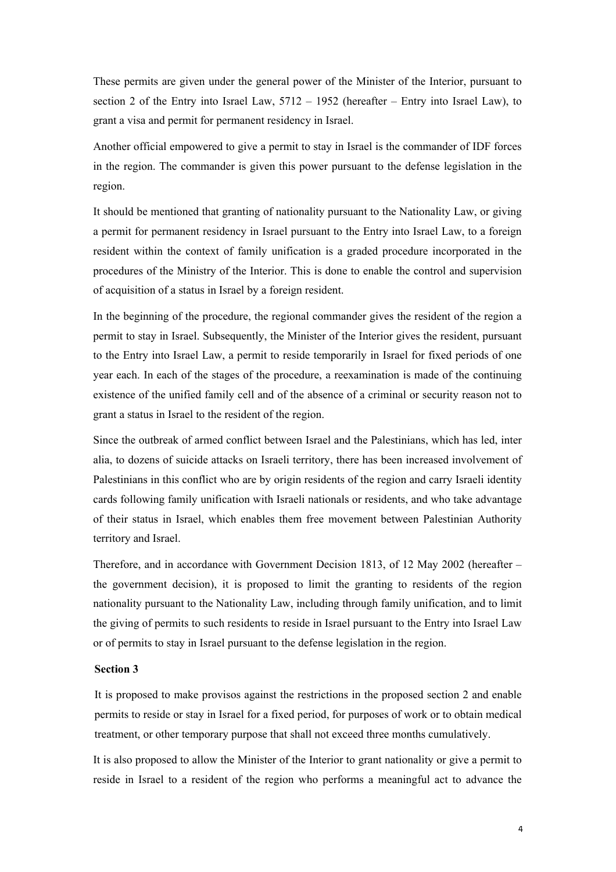These permits are given under the general power of the Minister of the Interior, pursuant to section 2 of the Entry into Israel Law, 5712 – 1952 (hereafter – Entry into Israel Law), to grant a visa and permit for permanent residency in Israel.

Another official empowered to give a permit to stay in Israel is the commander of IDF forces in the region. The commander is given this power pursuant to the defense legislation in the region.

It should be mentioned that granting of nationality pursuant to the Nationality Law, or giving a permit for permanent residency in Israel pursuant to the Entry into Israel Law, to a foreign resident within the context of family unification is a graded procedure incorporated in the procedures of the Ministry of the Interior. This is done to enable the control and supervision of acquisition of a status in Israel by a foreign resident.

In the beginning of the procedure, the regional commander gives the resident of the region a permit to stay in Israel. Subsequently, the Minister of the Interior gives the resident, pursuant to the Entry into Israel Law, a permit to reside temporarily in Israel for fixed periods of one year each. In each of the stages of the procedure, a reexamination is made of the continuing existence of the unified family cell and of the absence of a criminal or security reason not to grant a status in Israel to the resident of the region.

Since the outbreak of armed conflict between Israel and the Palestinians, which has led, inter alia, to dozens of suicide attacks on Israeli territory, there has been increased involvement of Palestinians in this conflict who are by origin residents of the region and carry Israeli identity cards following family unification with Israeli nationals or residents, and who take advantage of their status in Israel, which enables them free movement between Palestinian Authority territory and Israel.

Therefore, and in accordance with Government Decision 1813, of 12 May 2002 (hereafter – the government decision), it is proposed to limit the granting to residents of the region nationality pursuant to the Nationality Law, including through family unification, and to limit the giving of permits to such residents to reside in Israel pursuant to the Entry into Israel Law or of permits to stay in Israel pursuant to the defense legislation in the region.

#### **Section 3**

It is proposed to make provisos against the restrictions in the proposed section 2 and enable permits to reside or stay in Israel for a fixed period, for purposes of work or to obtain medical treatment, or other temporary purpose that shall not exceed three months cumulatively.

It is also proposed to allow the Minister of the Interior to grant nationality or give a permit to reside in Israel to a resident of the region who performs a meaningful act to advance the